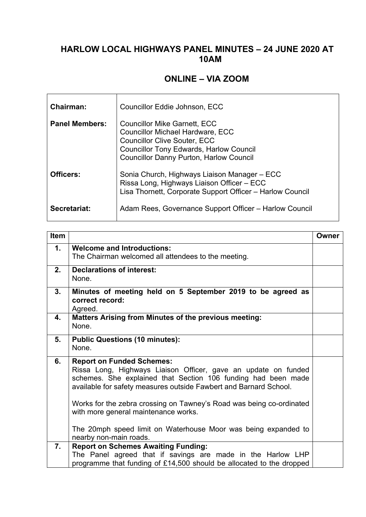## **HARLOW LOCAL HIGHWAYS PANEL MINUTES – 24 JUNE 2020 AT 10AM**

## **ONLINE – VIA ZOOM**

| Chairman:             | Councillor Eddie Johnson, ECC                                                                                                                                                                                             |
|-----------------------|---------------------------------------------------------------------------------------------------------------------------------------------------------------------------------------------------------------------------|
| <b>Panel Members:</b> | <b>Councillor Mike Garnett, ECC</b><br><b>Councillor Michael Hardware, ECC</b><br><b>Councillor Clive Souter, ECC</b><br><b>Councillor Tony Edwards, Harlow Council</b><br><b>Councillor Danny Purton, Harlow Council</b> |
| Officers:             | Sonia Church, Highways Liaison Manager - ECC<br>Rissa Long, Highways Liaison Officer - ECC<br>Lisa Thornett, Corporate Support Officer - Harlow Council                                                                   |
| Secretariat:          | Adam Rees, Governance Support Officer - Harlow Council                                                                                                                                                                    |

| <b>Item</b> |                                                                                                                                                                                                                                                                                                                                                                                                                                                      | Owner |
|-------------|------------------------------------------------------------------------------------------------------------------------------------------------------------------------------------------------------------------------------------------------------------------------------------------------------------------------------------------------------------------------------------------------------------------------------------------------------|-------|
| 1.          | <b>Welcome and Introductions:</b><br>The Chairman welcomed all attendees to the meeting.                                                                                                                                                                                                                                                                                                                                                             |       |
| 2.          | <b>Declarations of interest:</b><br>None.                                                                                                                                                                                                                                                                                                                                                                                                            |       |
| 3.          | Minutes of meeting held on 5 September 2019 to be agreed as<br>correct record:<br>Agreed.                                                                                                                                                                                                                                                                                                                                                            |       |
| 4.          | <b>Matters Arising from Minutes of the previous meeting:</b><br>None.                                                                                                                                                                                                                                                                                                                                                                                |       |
| 5.          | <b>Public Questions (10 minutes):</b><br>None.                                                                                                                                                                                                                                                                                                                                                                                                       |       |
| 6.          | <b>Report on Funded Schemes:</b><br>Rissa Long, Highways Liaison Officer, gave an update on funded<br>schemes. She explained that Section 106 funding had been made<br>available for safety measures outside Fawbert and Barnard School.<br>Works for the zebra crossing on Tawney's Road was being co-ordinated<br>with more general maintenance works.<br>The 20mph speed limit on Waterhouse Moor was being expanded to<br>nearby non-main roads. |       |
| 7.          | <b>Report on Schemes Awaiting Funding:</b><br>The Panel agreed that if savings are made in the Harlow LHP                                                                                                                                                                                                                                                                                                                                            |       |
|             | programme that funding of £14,500 should be allocated to the dropped                                                                                                                                                                                                                                                                                                                                                                                 |       |